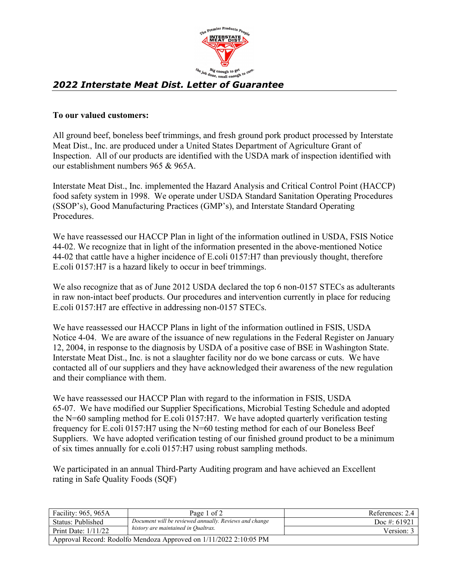

## *2022 Interstate Meat Dist. Letter of Guarantee*

## **To our valued customers:**

All ground beef, boneless beef trimmings, and fresh ground pork product processed by Interstate Meat Dist., Inc. are produced under a United States Department of Agriculture Grant of Inspection. All of our products are identified with the USDA mark of inspection identified with our establishment numbers 965 & 965A.

Interstate Meat Dist., Inc. implemented the Hazard Analysis and Critical Control Point (HACCP) food safety system in 1998. We operate under USDA Standard Sanitation Operating Procedures (SSOP's), Good Manufacturing Practices (GMP's), and Interstate Standard Operating Procedures.

We have reassessed our HACCP Plan in light of the information outlined in USDA, FSIS Notice 44-02. We recognize that in light of the information presented in the above-mentioned Notice 44-02 that cattle have a higher incidence of E.coli 0157:H7 than previously thought, therefore E.coli 0157:H7 is a hazard likely to occur in beef trimmings.

We also recognize that as of June 2012 USDA declared the top 6 non-0157 STECs as adulterants in raw non-intact beef products. Our procedures and intervention currently in place for reducing E.coli 0157:H7 are effective in addressing non-0157 STECs.

We have reassessed our HACCP Plans in light of the information outlined in FSIS, USDA Notice 4-04. We are aware of the issuance of new regulations in the Federal Register on January 12, 2004, in response to the diagnosis by USDA of a positive case of BSE in Washington State. Interstate Meat Dist., Inc. is not a slaughter facility nor do we bone carcass or cuts. We have contacted all of our suppliers and they have acknowledged their awareness of the new regulation and their compliance with them.

We have reassessed our HACCP Plan with regard to the information in FSIS, USDA 65-07. We have modified our Supplier Specifications, Microbial Testing Schedule and adopted the N=60 sampling method for E.coli 0157:H7. We have adopted quarterly verification testing frequency for E.coli 0157:H7 using the N=60 testing method for each of our Boneless Beef Suppliers. We have adopted verification testing of our finished ground product to be a minimum of six times annually for e.coli 0157:H7 using robust sampling methods.

We participated in an annual Third-Party Auditing program and have achieved an Excellent rating in Safe Quality Foods (SQF)

| Facility: 965, 965A                                               | Page 1 of 2                                            | References: 2.4 |  |
|-------------------------------------------------------------------|--------------------------------------------------------|-----------------|--|
| Status: Published                                                 | Document will be reviewed annually. Reviews and change | Doc #: $61921$  |  |
| Print Date: $1/11/22$                                             | history are maintained in Qualtrax.                    | Version: 3      |  |
| Approval Record: Rodolfo Mendoza Approved on 1/11/2022 2:10:05 PM |                                                        |                 |  |